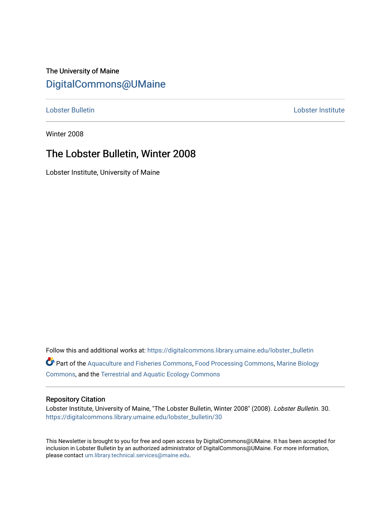## The University of Maine [DigitalCommons@UMaine](https://digitalcommons.library.umaine.edu/)

[Lobster Bulletin](https://digitalcommons.library.umaine.edu/lobster_bulletin) [Lobster Institute](https://digitalcommons.library.umaine.edu/lobster) 

Winter 2008

## The Lobster Bulletin, Winter 2008

Lobster Institute, University of Maine

Follow this and additional works at: [https://digitalcommons.library.umaine.edu/lobster\\_bulletin](https://digitalcommons.library.umaine.edu/lobster_bulletin?utm_source=digitalcommons.library.umaine.edu%2Flobster_bulletin%2F30&utm_medium=PDF&utm_campaign=PDFCoverPages) Part of the [Aquaculture and Fisheries Commons](http://network.bepress.com/hgg/discipline/78?utm_source=digitalcommons.library.umaine.edu%2Flobster_bulletin%2F30&utm_medium=PDF&utm_campaign=PDFCoverPages), [Food Processing Commons,](http://network.bepress.com/hgg/discipline/85?utm_source=digitalcommons.library.umaine.edu%2Flobster_bulletin%2F30&utm_medium=PDF&utm_campaign=PDFCoverPages) [Marine Biology](http://network.bepress.com/hgg/discipline/1126?utm_source=digitalcommons.library.umaine.edu%2Flobster_bulletin%2F30&utm_medium=PDF&utm_campaign=PDFCoverPages) [Commons](http://network.bepress.com/hgg/discipline/1126?utm_source=digitalcommons.library.umaine.edu%2Flobster_bulletin%2F30&utm_medium=PDF&utm_campaign=PDFCoverPages), and the [Terrestrial and Aquatic Ecology Commons](http://network.bepress.com/hgg/discipline/20?utm_source=digitalcommons.library.umaine.edu%2Flobster_bulletin%2F30&utm_medium=PDF&utm_campaign=PDFCoverPages) 

#### Repository Citation

Lobster Institute, University of Maine, "The Lobster Bulletin, Winter 2008" (2008). Lobster Bulletin. 30. [https://digitalcommons.library.umaine.edu/lobster\\_bulletin/30](https://digitalcommons.library.umaine.edu/lobster_bulletin/30?utm_source=digitalcommons.library.umaine.edu%2Flobster_bulletin%2F30&utm_medium=PDF&utm_campaign=PDFCoverPages) 

This Newsletter is brought to you for free and open access by DigitalCommons@UMaine. It has been accepted for inclusion in Lobster Bulletin by an authorized administrator of DigitalCommons@UMaine. For more information, please contact [um.library.technical.services@maine.edu.](mailto:um.library.technical.services@maine.edu)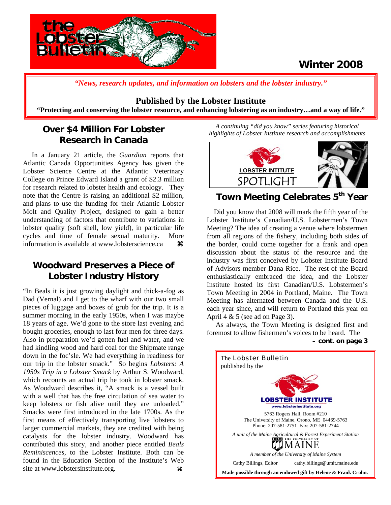

## **Winter 2008**

*"News, research updates, and information on lobsters and the lobster industry."*

### **Published by the Lobster Institute**

**"Protecting and conserving the lobster resource, and enhancing lobstering as an industry…and a way of life."** 

## **Over \$4 Million For Lobster Research in Canada**

 In a January 21 article, the *Guardian* reports that Atlantic Canada Opportunities Agency has given the Lobster Science Centre at the Atlantic Veterinary College on Prince Edward Island a grant of \$2.3 million for research related to lobster health and ecology. They note that the Centre is raising an additional \$2 million, and plans to use the funding for their Atlantic Lobster Molt and Quality Project, designed to gain a better understanding of factors that contribute to variations in lobster quality (soft shell, low yield), in particular life cycles and time of female sexual maturity. More information is available at www.lobsterscience.ca  $\mathcal{H}$ 

## **Woodward Preserves a Piece of Lobster Industry History**

"In Beals it is just growing daylight and thick-a-fog as Dad (Vernal) and I get to the wharf with our two small pieces of luggage and boxes of grub for the trip. It is a summer morning in the early 1950s, when I was maybe 18 years of age. We'd gone to the store last evening and bought groceries, enough to last four men for three days. Also in preparation we'd gotten fuel and water, and we had kindling wood and hard coal for the Shipmate range down in the foc'sle. We had everything in readiness for our trip in the lobster smack." So begins *Lobsters: A 1950s Trip in a Lobster Smack* by Arthur S. Woodward, which recounts an actual trip he took in lobster smack. As Woodward describes it, "A smack is a vessel built with a well that has the free circulation of sea water to keep lobsters or fish alive until they are unloaded." Smacks were first introduced in the late 1700s. As the first means of effectively transporting live lobsters to larger commercial markets, they are credited with being catalysts for the lobster industry. Woodward has contributed this story, and another piece entitled *Beals Reminiscences*, to the Lobster Institute. Both can be found in the Education Section of the Institute's Web site at www.lobstersinstitute.org. **a a** 

*A continuing "did you know" series featuring historical highlights of Lobster Institute research and accomplishments .* 



## **Town Meeting Celebrates 5th Year**

 Did you know that 2008 will mark the fifth year of the Lobster Institute's Canadian/U.S. Lobstermen's Town Meeting? The idea of creating a venue where lobstermen from all regions of the fishery, including both sides of the border, could come together for a frank and open discussion about the status of the resource and the industry was first conceived by Lobster Institute Board of Advisors member Dana Rice. The rest of the Board enthusiastically embraced the idea, and the Lobster Institute hosted its first Canadian/U.S. Lobstermen's Town Meeting in 2004 in Portland, Maine. The Town Meeting has alternated between Canada and the U.S. each year since, and will return to Portland this year on April 4  $& 5$  (see ad on Page 3).

As always, the Town Meeting is designed first and foremost to allow fishermen's voices to be heard. The **– cont. on page 3**

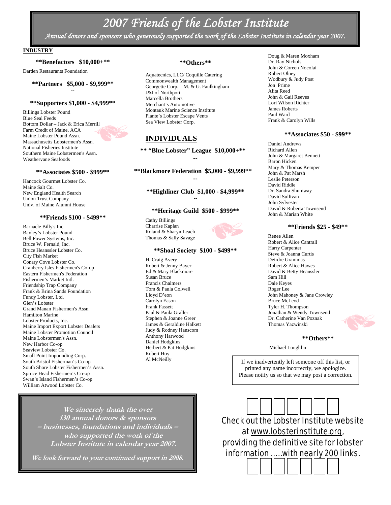## *2007 Friends of the Lobster Institute*

*Annual donors and sponsors who generously supported the work of the Lobster Institute in calendar year 2007.* 

#### **INDUSTRY**

#### **\*\*Benefactors \$10,000+\*\***

Darden Restaurants Foundation

#### **\*\*Partners \$5,000 - \$9,999\*\*** --

#### **\*\*Supporters \$1,000 - \$4,999\*\***

Billings Lobster Pound Blue Seal Feeds Bottom Dollar – Jack & Erica Merrill Farm Credit of Maine, ACA Maine Lobster Pound Assn. Massachusetts Lobstermen's Assn. National Fisheries Institute Southern Maine Lobstermen's Assn. Weathervane Seafoods

#### **\*\*Associates \$500 - \$999\*\***

Hancock Gourmet Lobster Co. Maine Salt Co. New England Health Search Union Trust Company Univ. of Maine Alumni House

#### **\*\*Friends \$100 - \$499\*\***

Barnacle Billy's Inc. Bayley's Lobster Pound Bell Power Systems, Inc. Bruce W. Fernald, Inc. Bruce Heanssler Lobster Co. City Fish Market Conary Cove Lobster Co. Cranberry Isles Fishermen's Co-op Eastern Fishermen's Federation Fishermen's Market Intl. Friendship Trap Company Frank & Brina Sands Foundation Fundy Lobster, Ltd. Glen's Lobster Grand Manan Fishermen's Assn. Hamilton Marine Lobster Products, Inc. Maine Import Export Lobster Dealers Maine Lobster Promotion Council Maine Lobstermen's Assn. New Harbor Co-op Seaview Lobster Co. Small Point Impounding Corp. South Bristol Fisherman's Co-op South Shore Lobster Fishermen's Assn. Spruce Head Fishermen's Co-op Swan's Island Fishermen's Co-op William Atwood Lobster Co.

#### **\*\*Others\*\***

Aquatecnics, LLC/ Coquille Catering Commonwealth Management Georgette Corp. – M. & G. Faulkingham J&J of Northport Marcella Brothers Merchant's Automotive Montauk Marine Science Institute Plante's Lobster Escape Vents Sea View Lobster Corp.

### **INDIVIDUALS**

**\*\* "Blue Lobster" League \$10,000+\*\* --** 

**\*\*Blackmore Federation \$5,000 - \$9,999\*\* --** 

**\*\*Highliner Club \$1,000 - \$4,999\*\*** --

#### **\*\*Heritage Guild \$500 - \$999\*\***

Cathy Billings Charrise Kaplan Roland & Sharyn Leach Thomas & Sally Savage

#### **\*\*Shoal Society \$100 - \$499\*\***

H. Craig Avery Robert & Jenny Bayer Ed & Mary Blackmore Susan Bruce Francis Chalmers Tom & Paula Colwell Lloyd D'eon Carolyn Eason Frank Fassett Paul & Paula Graller Stephen & Joanne Greer James & Geraldine Halkett Judy & Rodney Hanscom Anthony Harwood Daniel Hodgkins Herbert & Pat Hodgkins Robert Hoy Al McNeilly

Doug & Maren Moxham Dr. Ray Nichols John & Coreen Nocolai Robert Olney Wodbury & Judy Post Jon Prime Alita Reed John & Gail Reeves Lori Wilson Richter James Roberts Paul Ward Frank & Carolyn Wills

#### **\*\*Associates \$50 - \$99\*\***

Daniel Andrews Richard Allen John & Margaret Bennett Baron Hicken Mary & Thomas Kemper John & Pat Marsh Leslie Peterson David Riddle Dr. Sandra Shumway David Sullivan John Sylvester David & Roberta Townsend John & Marian White

#### **\*\*Friends \$25 - \$49\*\***

Renee Allen Robert & Alice Cantrall Harry Carpenter Steve & Joanna Curtis Deirdre Grammas Robert & Alice Hawes David & Betty Heanssler Sam Hill Dale Keyes Roger Lee John Mahoney & Jane Crowley Bruce McLeod Tyler H. Thompson Jonathan & Wendy Townsend Dr. Catherine Van Poznak Thomas Yazwinski

#### **\*\*Others\*\***

Michael Loughlin

If we inadvertently left someone off this list, or printed any name incorrectly, we apologize. Please notify us so that we may post a correction.

**We sincerely thank the over 130 annual donors & sponsors – businesses, foundations and individuals – who supported the work of the Lobster Institute in calendar year 2007.**

**We look forward to your continued support in 2008.** 

Check out the Lobster Institute website at www.lobsterinstitute.org, providing the definitive site for lobster information …… with nearly 200 links.

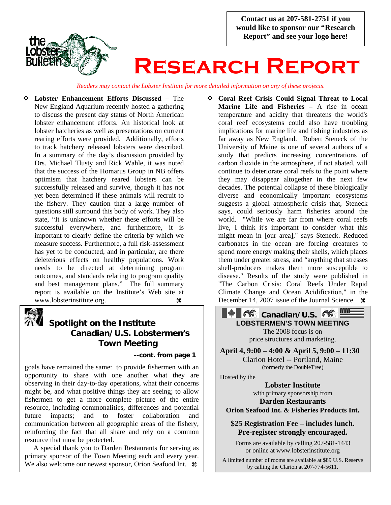**Contact us at 207-581-2751 if you would like to sponsor our "Research Report" and see your logo here!** 



# **Research Report**

*Readers may contact the Lobster Institute for more detailed information on any of these projects.*

 **Lobster Enhancement Efforts Discussed** – The New England Aquarium recently hosted a gathering to discuss the present day status of North American lobster enhancement efforts. An historical look at lobster hatcheries as well as presentations on current rearing efforts were provided. Additionally, efforts to track hatchery released lobsters were described. In a summary of the day's discussion provided by Drs. Michael Tlusty and Rick Wahle, it was noted that the success of the Homarus Group in NB offers optimism that hatchery reared lobsters can be successfully released and survive, though it has not yet been determined if these animals will recruit to the fishery. They caution that a large number of questions still surround this body of work. They also state, "It is unknown whether these efforts will be successful everywhere, and furthermore, it is important to clearly define the criteria by which we measure success. Furthermore, a full risk-assessment has yet to be conducted, and in particular, are there deleterious effects on healthy populations. Work needs to be directed at determining program outcomes, and standards relating to program quality and best management plans." The full summary report is available on the Institute's Web site at www.lobsterinstitute.org. **as** 



# **Spotlight on the Institute Canadian/U.S. Lobstermen's Town Meeting --cont. from page 1**

goals have remained the same: to provide fishermen with an opportunity to share with one another what they are observing in their day-to-day operations, what their concerns might be, and what positive things they are seeing; to allow fishermen to get a more complete picture of the entire resource, including commonalities, differences and potential future impacts; and to foster collaboration and communication between all geographic areas of the fishery, reinforcing the fact that all share and rely on a common resource that must be protected.

 A special thank you to Darden Restaurants for serving as primary sponsor of the Town Meeting each and every year. We also welcome our newest sponsor, Orion Seafood Int.  $\ast$ 

 **Coral Reef Crisis Could Signal Threat to Local Marine Life and Fisheries – A rise in ocean** temperature and acidity that threatens the world's coral reef ecosystems could also have troubling implications for marine life and fishing industries as far away as New England. Robert Steneck of the University of Maine is one of several authors of a study that predicts increasing concentrations of carbon dioxide in the atmosphere, if not abated, will continue to deteriorate coral reefs to the point where they may disappear altogether in the next few decades. The potential collapse of these biologically diverse and economically important ecosystems suggests a global atmospheric crisis that, Steneck says, could seriously harm fisheries around the world. "While we are far from where coral reefs live, I think it's important to consider what this might mean in [our area]," says Steneck. Reduced carbonates in the ocean are forcing creatures to spend more energy making their shells, which places them under greater stress, and "anything that stresses shell-producers makes them more susceptible to disease." Results of the study were published in "The Carbon Crisis: Coral Reefs Under Rapid Climate Change and Ocean Acidification," in the December 14, 2007 issue of the Journal Science.  $\mathcal{R}$ 

> **ALC: Canadian/U.S. LOBSTERMEN'S TOWN MEETING** The 2008 focus is on price structures and marketing.

**April 4, 9:00 – 4:00 & April 5, 9:00 – 11:30**  Clarion Hotel -- Portland, Maine (formerly the DoubleTree)

Hosted by the

**Lobster Institute**  with primary sponsorship from **Darden Restaurants** 

**Orion Seafood Int. & Fisheries Products Int.** 

### **\$25 Registration Fee – includes lunch. Pre-register strongly encouraged.**

Forms are available by calling 207-581-1443 or online at www.lobsterinstitute.org

A limited number of rooms are available at \$89 U.S. Reserve by calling the Clarion at 207-774-5611.